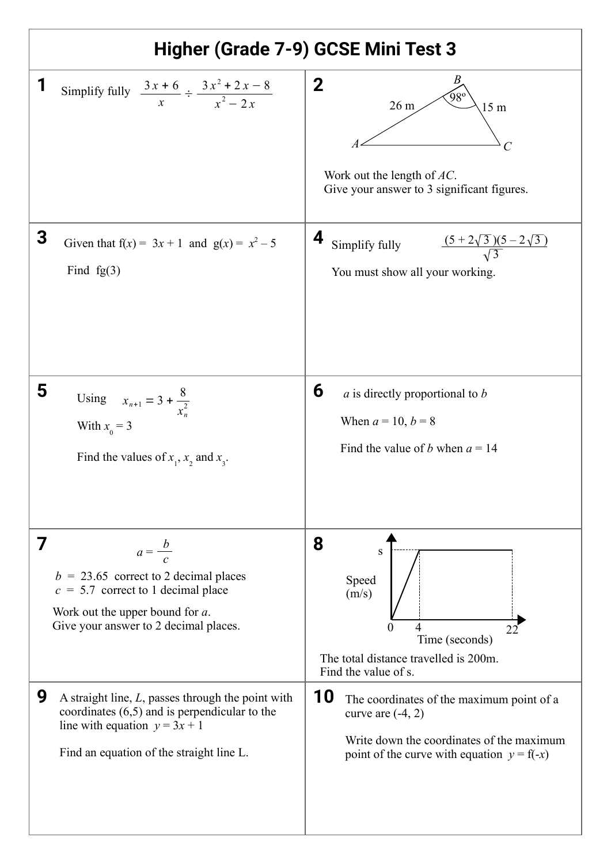| Higher (Grade 7-9) GCSE Mini Test 3                                                                                                                                                         |                                                                                                                                                                            |
|---------------------------------------------------------------------------------------------------------------------------------------------------------------------------------------------|----------------------------------------------------------------------------------------------------------------------------------------------------------------------------|
| 1<br>Simplify fully $\frac{3x+6}{x} \div \frac{3x^2+2x-8}{x^2-2x}$                                                                                                                          | $B_{\cdot}$<br>$\mathbf{2}$<br>98°<br>26 <sub>m</sub><br>15 <sub>m</sub><br>Work out the length of $AC$ .<br>Give your answer to 3 significant figures.                    |
| 3<br>Given that $f(x) = 3x + 1$ and $g(x) = x^2 - 5$<br>Find $fg(3)$                                                                                                                        | 4<br>$\frac{(5+2\sqrt{3})(5-2\sqrt{3})}{\sqrt{3}}$<br>Simplify fully<br>You must show all your working.                                                                    |
| 5<br>Using $x_{n+1} = 3 + \frac{8}{x_n^2}$<br>With $x_0 = 3$<br>Find the values of $x_1$ , $x_2$ and $x_3$ .                                                                                | 6<br>$\alpha$ is directly proportional to $\beta$<br>When $a = 10, b = 8$<br>Find the value of <i>b</i> when $a = 14$                                                      |
| 7<br>$a=\frac{b}{c}$<br>$b = 23.65$ correct to 2 decimal places<br>$c = 5.7$ correct to 1 decimal place<br>Work out the upper bound for $a$ .<br>Give your answer to 2 decimal places.      | 8<br>S<br>Speed<br>(m/s)<br>4<br>$\theta$<br>22<br>Time (seconds)<br>The total distance travelled is 200m.<br>Find the value of s.                                         |
| 9<br>A straight line, $L$ , passes through the point with<br>coordinates $(6,5)$ and is perpendicular to the<br>line with equation $y = 3x + 1$<br>Find an equation of the straight line L. | <b>10</b><br>The coordinates of the maximum point of a<br>curve are $(-4, 2)$<br>Write down the coordinates of the maximum<br>point of the curve with equation $y = f(-x)$ |